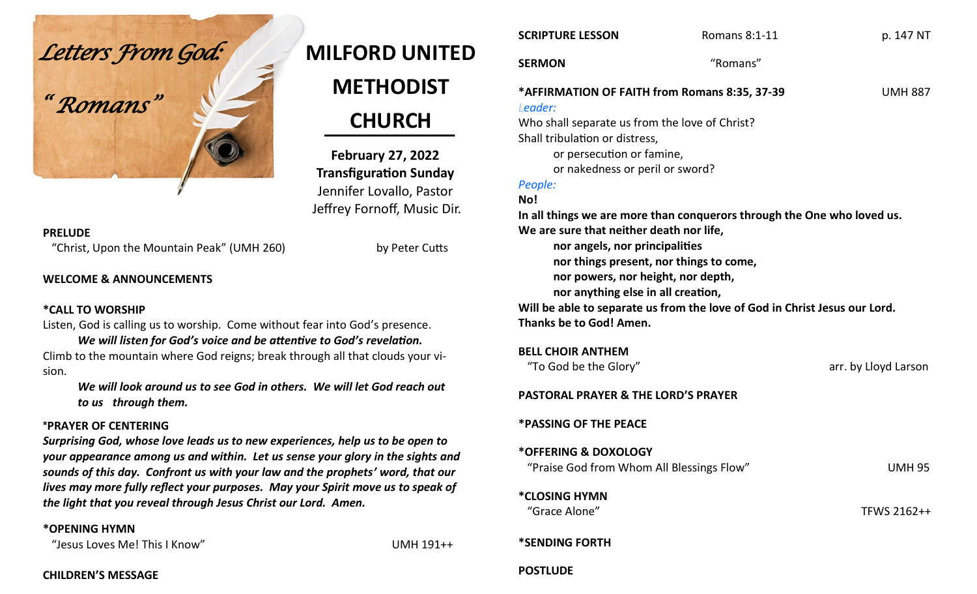

# **MILFORD UNITED METHODIST CHURCH**

**February 27, 2022 Transfiguration Sunday** Jennifer Lovallo, Pastor Jeffrey Fornoff, Music Dir.

#### **PRELUDE**

"Christ, Upon the Mountain Peak" (UMH 260) by Peter Cutts

# **WELCOME & ANNOUNCEMENTS**

## **\*CALL TO WORSHIP**

Listen, God is calling us to worship. Come without fear into God's presence.

*We will listen for God's voice and be attentive to God's revelation.* Climb to the mountain where God reigns; break through all that clouds your vision.

*We will look around us to see God in others. We will let God reach out to us through them.*

## **\*PRAYER OF CENTERING**

*Surprising God, whose love leads us to new experiences, help us to be open to your appearance among us and within. Let us sense your glory in the sights and sounds of this day. Confront us with your law and the prophets' word, that our lives may more fully reflect your purposes. May your Spirit move us to speak of the light that you reveal through Jesus Christ our Lord. Amen.*

## **\*OPENING HYMN**

"Jesus Loves Me! This I Know" UMH 191++

**CHILDREN'S MESSAGE**

| <b>SCRIPTURE LESSON</b>                                                 | <b>Romans 8:1-11</b> | p. 147 NT      |  |
|-------------------------------------------------------------------------|----------------------|----------------|--|
| <b>SERMON</b>                                                           | "Romans"             |                |  |
| *AFFIRMATION OF FAITH from Romans 8:35, 37-39<br>Leader:                |                      | <b>UMH 887</b> |  |
| Who shall separate us from the love of Christ?                          |                      |                |  |
| Shall tribulation or distress,                                          |                      |                |  |
| or persecution or famine,                                               |                      |                |  |
| or nakedness or peril or sword?                                         |                      |                |  |
| People:                                                                 |                      |                |  |
| No!                                                                     |                      |                |  |
| In all things we are more than conquerors through the One who loved us. |                      |                |  |
|                                                                         |                      |                |  |

**We are sure that neither death nor life,**

**nor angels, nor principalities**

- **nor things present, nor things to come,**
- **nor powers, nor height, nor depth,**
- **nor anything else in all creation,**

**Will be able to separate us from the love of God in Christ Jesus our Lord. Thanks be to God! Amen.**

#### **BELL CHOIR ANTHEM**

| "To God be the Glory"                                             | arr. by Lloyd Larson |
|-------------------------------------------------------------------|----------------------|
| <b>PASTORAL PRAYER &amp; THE LORD'S PRAYER</b>                    |                      |
| <b>*PASSING OF THE PEACE</b>                                      |                      |
| *OFFERING & DOXOLOGY<br>"Praise God from Whom All Blessings Flow" | <b>UMH 95</b>        |
| <i><b>*CLOSING HYMN</b></i><br>"Grace Alone"                      | TFWS 2162++          |
| <b>*SENDING FORTH</b>                                             |                      |
| <b>POSTLUDE</b>                                                   |                      |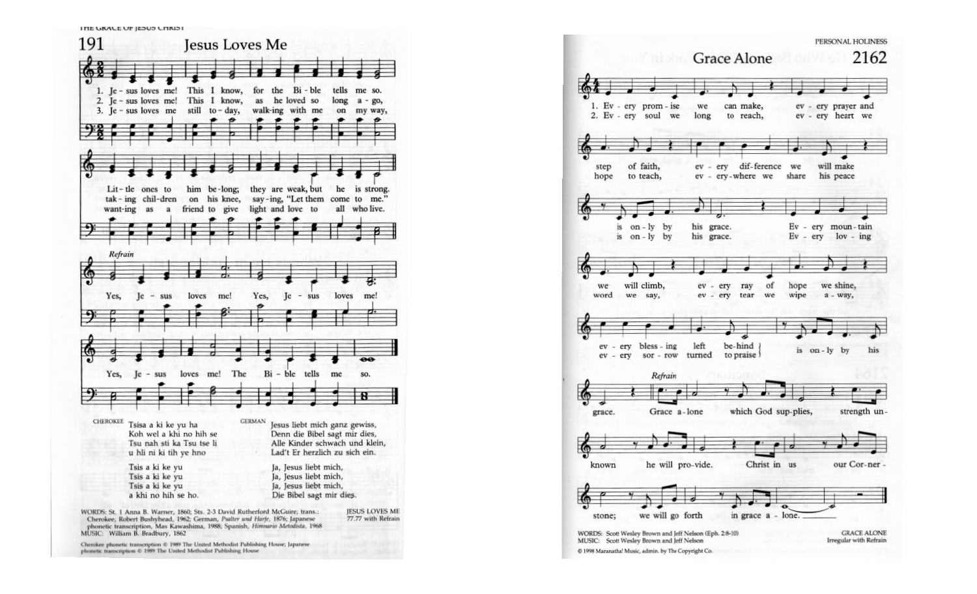

PERSONAL HOLINESS 2162 Grace Alone 1. Ev - ery prom - ise can make, ev - ery prayer and we 2. Ev - ery soul we long to reach, ev - ery heart we dif-ference we of faith, ev  $-$  erv will make step ev - ery-where we share his peace hope to teach,  $on - ly$  by Ev - ery moun-tain his grace.  $1S$ is on-ly by his grace.  $Ev - ery$   $lov - ing$ will climb, ev - ery ray of hope we shine, we - ery tear we wipe word we say, ev  $a - way$ , ev - ery bless - ing left be-hind is on-ly by his ev - ery sor - row turned to praise Refrain which God sup-plies, strength ungrace. Grace a-lone known he will pro-vide. Christ in us our Cor-ner stone; we will go forth in grace a - lone. **GRACE ALONE** WORDS: Scott Wesley Brown and Jeff Nelson (Eph. 2:8-10) Irregular with Refrain MUSIC: Scott Wesley Brown and Jeff Nelson @ 1998 Maranatha! Music, admin. by The Copyright Co.